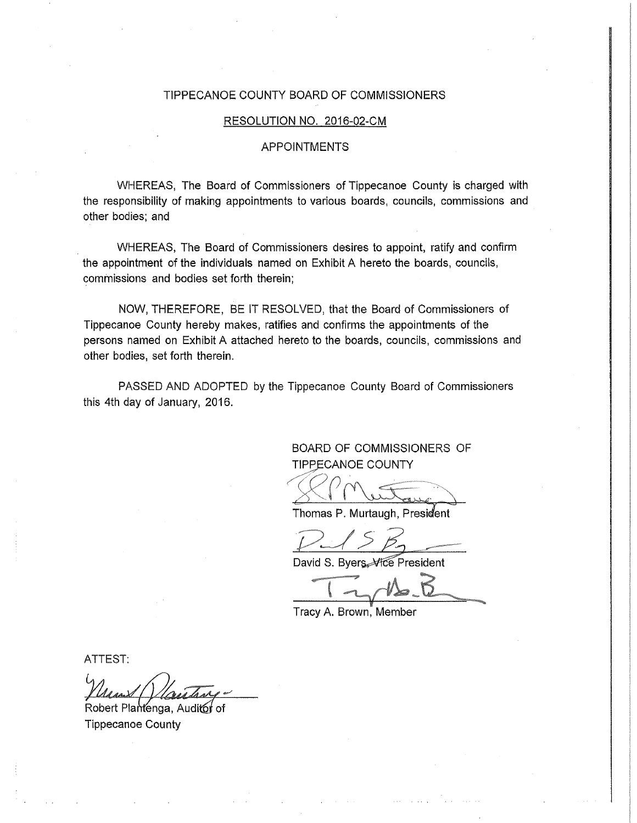## TIPPECANOE COUNTY BOARD OF COMMISSIONERS

## RESOLUTION NO. 2016-02-CM

## **APPOINTMENTS**

WHEREAS, The Board of Commissioners of Tippecanoe County is charged with the responsibility of making appointments to various boards, councils, commissions and other bodies; and

WHEREAS, The Board of Commissioners desires to appoint, ratify and confirm the appointment of the individuals named on Exhibit A hereto the boards, councils, commissions and bodies set forth therein;

NOW, THEREFORE, BE IT RESOLVED, that the Board of Commissioners of Tippecanoe County hereby makes, ratifies and confirms the appointments of the persons named on Exhibit A attached hereto to the boards, councils, commissions and other bodies, set forth therein.

PASSED AND ADOPTED by the Tippecanoe County Board of Commissioners this 4th day of January, 2016.

> BOARD OF COMMISSIONERS OF **TIPPECANOE COUNTY**

Thomas P. Murtaugh, President

David S. Bvers President

Tracy A. Brown, Member

ATTEST:

Robert Plantenga, Auditor of **Tippecanoe County**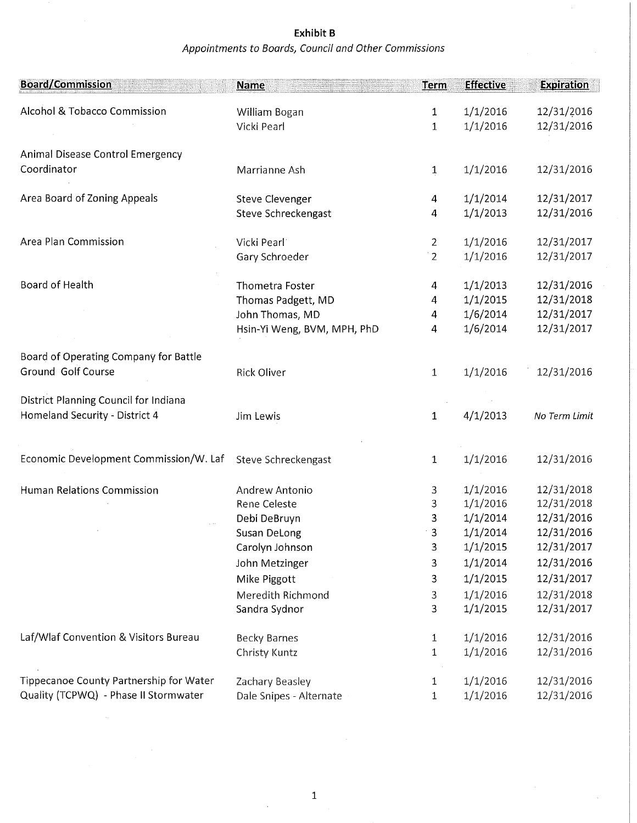## Appointments to Boards, Council and Other Commissions Exhibit B

| <b>Board/Commission</b>                 | <b>Name</b>                 | Term           | <b>Effective</b> | <b>Expiration</b> |
|-----------------------------------------|-----------------------------|----------------|------------------|-------------------|
| Alcohol & Tobacco Commission            | William Bogan               | 1              | 1/1/2016         | 12/31/2016        |
|                                         | Vicki Pearl                 | 1              | 1/1/2016         | 12/31/2016        |
| Animal Disease Control Emergency        |                             |                |                  |                   |
| Coordinator                             | Marrianne Ash               | $\overline{1}$ | 1/1/2016         | 12/31/2016        |
|                                         |                             |                |                  |                   |
| Area Board of Zoning Appeals            | Steve Clevenger             | 4              | 1/1/2014         | 12/31/2017        |
|                                         | Steve Schreckengast         | 4              | 1/1/2013         | 12/31/2016        |
| Area Plan Commission                    | Vicki Pearl                 | $\overline{2}$ | 1/1/2016         | 12/31/2017        |
|                                         | Gary Schroeder              | $\frac{1}{2}$  | 1/1/2016         | 12/31/2017        |
|                                         |                             |                |                  |                   |
| Board of Health                         | Thometra Foster             | 4              | 1/1/2013         | 12/31/2016        |
|                                         | Thomas Padgett, MD          | 4              | 1/1/2015         | 12/31/2018        |
|                                         | John Thomas, MD             | 4              | 1/6/2014         | 12/31/2017        |
|                                         | Hsin-Yi Weng, BVM, MPH, PhD | 4              | 1/6/2014         | 12/31/2017        |
| Board of Operating Company for Battle   |                             |                |                  |                   |
| Ground Golf Course                      | <b>Rick Oliver</b>          | $\mathbf{1}$   | 1/1/2016         | 12/31/2016        |
| District Planning Council for Indiana   |                             |                |                  |                   |
| Homeland Security - District 4          | Jim Lewis                   | 1              | 4/1/2013         | No Term Limit     |
| Economic Development Commission/W. Laf  | Steve Schreckengast         | 1              | 1/1/2016         | 12/31/2016        |
| Human Relations Commission              | Andrew Antonio              | 3              | 1/1/2016         | 12/31/2018        |
|                                         | Rene Celeste                | 3              | 1/1/2016         | 12/31/2018        |
|                                         | Debi DeBruyn                | 3              | 1/1/2014         | 12/31/2016        |
|                                         | Susan DeLong                | $\mathbf{3}$   | 1/1/2014         | 12/31/2016        |
|                                         | Carolyn Johnson             | 3              | 1/1/2015         | 12/31/2017        |
|                                         | John Metzinger              | 3              | 1/1/2014         | 12/31/2016        |
|                                         | Mike Piggott                | 3              | 1/1/2015         | 12/31/2017        |
|                                         | Meredith Richmond           | 3              | 1/1/2016         | 12/31/2018        |
|                                         | Sandra Sydnor               | 3              | 1/1/2015         | 12/31/2017        |
|                                         |                             |                |                  |                   |
| Laf/Wlaf Convention & Visitors Bureau   | Becky Barnes                | $\mathbf 1$    | 1/1/2016         | 12/31/2016        |
|                                         | Christy Kuntz               | 1              | 1/1/2016         | 12/31/2016        |
| Tippecanoe County Partnership for Water | Zachary Beasley             | 1              | 1/1/2016         | 12/31/2016        |
| Quality (TCPWQ) - Phase II Stormwater   | Dale Snipes - Alternate     | $\mathbf{1}$   | 1/1/2016         | 12/31/2016        |

 $\hat{\boldsymbol{\theta}}$